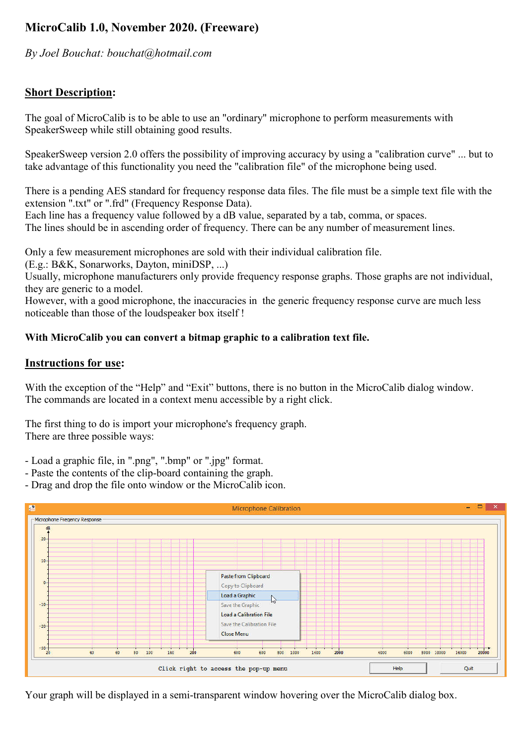# MicroCalib 1.0, November 2020. (Freeware)

*By Joel Bouchat: bouchat@hotmail.com*

## Short Description:

The goal of MicroCalib is to be able to use an "ordinary" microphone to perform measurements with SpeakerSweep while still obtaining good results.

SpeakerSweep version 2.0 offers the possibility of improving accuracy by using a "calibration curve" ... but to take advantage of this functionality you need the "calibration file" of the microphone being used.

There is a pending AES standard for frequency response data files. The file must be a simple text file with the extension ".txt" or ".frd" (Frequency Response Data).

Each line has a frequency value followed by a dB value, separated by a tab, comma, or spaces. The lines should be in ascending order of frequency. There can be any number of measurement lines.

Only a few measurement microphones are sold with their individual calibration file.

(E.g.: B&K, Sonarworks, Dayton, miniDSP, ...)

Usually, microphone manufacturers only provide frequency response graphs. Those graphs are not individual, they are generic to a model.

However, with a good microphone, the inaccuracies in the generic frequency response curve are much less noticeable than those of the loudspeaker box itself !

#### With MicroCalib you can convert a bitmap graphic to a calibration text file.

#### Instructions for use:

With the exception of the "Help" and "Exit" buttons, there is no button in the MicroCalib dialog window. The commands are located in a context menu accessible by a right click.

The first thing to do is import your microphone's frequency graph. There are three possible ways:

- Load a graphic file, in ".png", ".bmp" or ".jpg" format.
- Paste the contents of the clip-board containing the graph.
- Drag and drop the file onto window or the MicroCalib icon.



Your graph will be displayed in a semi-transparent window hovering over the MicroCalib dialog box.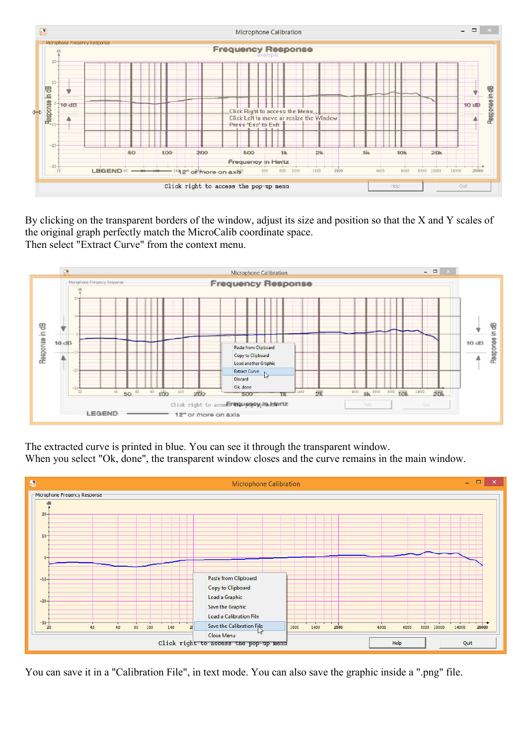

By clicking on the transparent borders of the window, adjust its size and position so that the X and Y scales of the original graph perfectly match the MicroCalib coordinate space. Then select "Extract Curve" from the context menu.



The extracted curve is printed in blue. You can see it through the transparent window.

When you select "Ok, done", the transparent window closes and the curve remains in the main window.



You can save it in a "Calibration File", in text mode. You can also save the graphic inside a ".png" file.